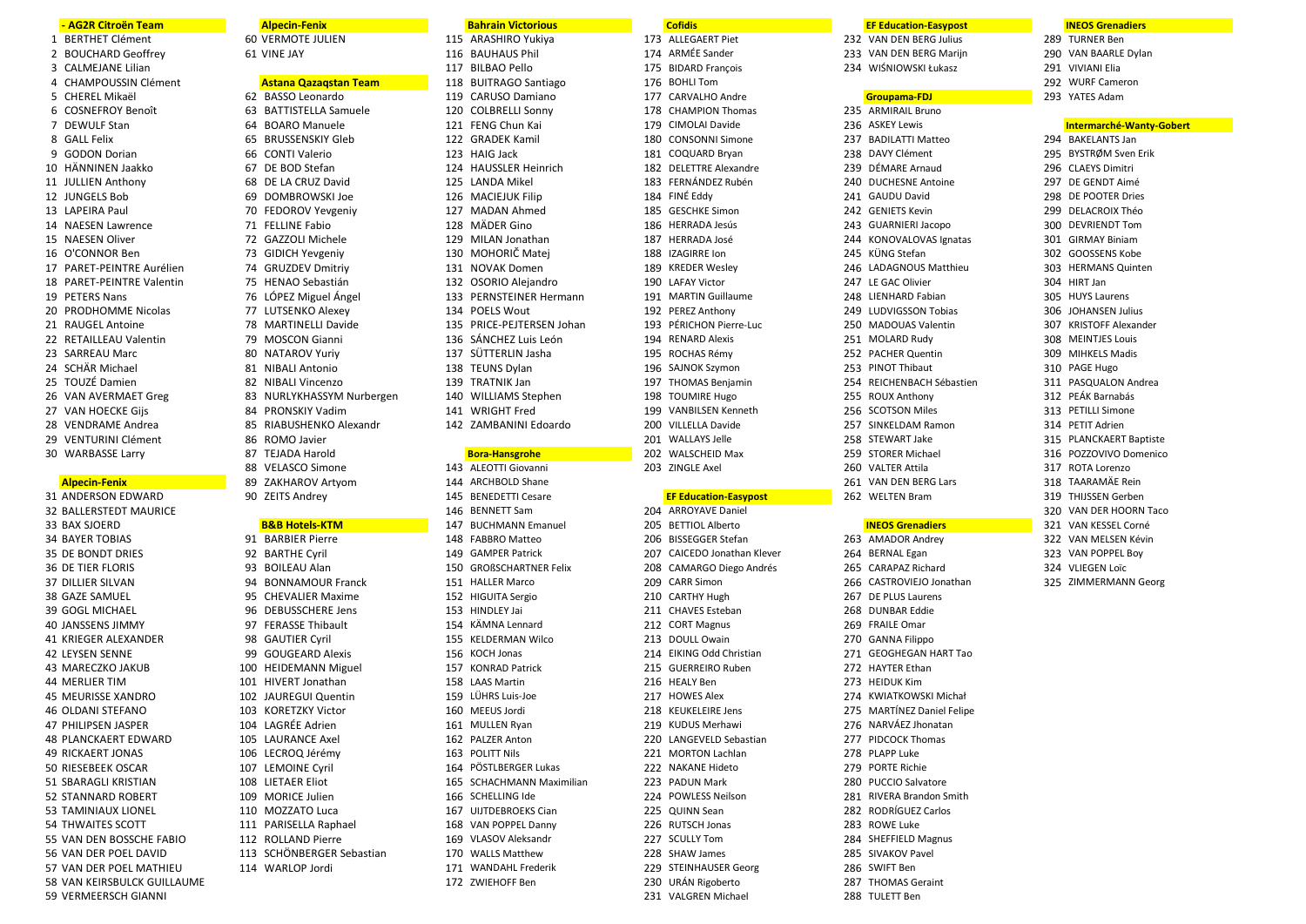### - AG2R Citroën Team

- 1 BERTHET Clément
- 2 BOUCHARD Geoffrey
- 3 CALMEJANE Lilian
- 
- 4 CHAMPOUSSIN Clément
- 5 CHEREL Mikaë
- 6 COSNEFROY Benoît
- 7 DEWULF Stan
- 8 GALL Felix
- 9 GODON Dorian
- 10 HÄNNINEN Jaakko
- 11 JULLIEN Anthony
- 12 IUNGELS Bob
- 13 LAPEIRA Paul
- 14 NAESEN Lawrence
- 15 NAESEN Oliver
- 16 O'CONNOR Ben
- 17 PARET-PEINTRE Aurélien
- 18 PARET-PEINTRE Valentin
- 19 PFTFRS Nans
- 20 PRODHOMME Nicolas
- 21 RAUGEL Antoine
- 22 RETAILLEAU Valentin
- 23 SARREAU Marc
- 24 SCHÄR Michael
- 
- 25 TOUZÉ Damien
- 26 VAN AVERMAET Greg
- 27 VAN HOECKE Gijs
- 28 VENDRAME Andrea
- 29 VENTURINI Clément
- 30 WARBASSE Larry
- 

### **Alpecin-Fenix** 31 ANDERSON EDWARD

**32 BALLERSTEDT MAURICE** 33 BAX SJOERD **34 BAYER TOBIAS** 35 DE BONDT DRIES **36 DE TIER FLORIS 37 DILLIER SILVAN** 38 GAZE SAMUEL 39 GOGI MICHAEL 40 JANSSENS JIMMY **41 KRIEGER ALEXANDER 42 LEYSEN SENNE** 43 MARECZKO JAKUB **44 MERLIER TIM 45 MEURISSE XANDRO 46 OLDANI STEFANO 47 PHILIPSEN JASPER 48 PLANCKAERT EDWARD 49 RICKAERT JONAS** 50 RIESEBEEK OSCAR 51 SBARAGLI KRISTIAN 52 STANNARD ROBERT 53 TAMINIAUX LIONEL 54 THWAITES SCOTT 55 VAN DEN BOSSCHE FABIO 56 VAN DER POEL DAVID 57 VAN DER POFI MATHIFU 58 VAN KEIRSBULCK GUILLAUME 59 VERMEERSCH GIANNI

62 BASSO Leonardo 63 BATTISTELLA Samuele 64 BOARO Manuele 65 BRUSSENSKIY Gleb 66 CONTI Valerio 67 DE BOD Stefan 68 DE LA CRUZ David 69 DOMBROWSKI Joe 70 FEDOROV Yevgeniy 71 FELLINE Fabio 72 GAZZOLI Michele 73 GIDICH Yevgeniv 74 GRUZDEV Dmitriv 75 HENAO Sebastián 76 LÓPEZ Miguel Ángel 77 LUTSENKO Alexev 78 MARTINELLI Davide 79 MOSCON Gianni 80 NATAROV Yuriv 81 NIBALI Antonio 82 NIBALI Vincenzo 83 NURLYKHASSYM Nurbergen 84 PRONSKIY Vadim 85 RIABUSHENKO Alexandr 86 ROMO Javier 87 TEJADA Harold 88 VELASCO Simone 89 ZAKHAROV Artvom

**Alpecin-Fenix** 

60 VERMOTE IULIEN

**Astana Oazagstan Team** 

61 VINE JAY

# **B&B Hotels-KTM**

90 ZEITS Andrey

91 BARBIER Pierre 92 BARTHE Cvril 93 BOILEAU Alan 94 BONNAMOUR Franck 95 CHEVALIER Maxime 96 DEBUSSCHERE Jens 97 FERASSE Thibault 98 GAUTIER Cvril 99 GOUGEARD Alexis 100 HEIDEMANN Miguel 101 HIVERT Jonathan 102 JAUREGUI Quentin 103 KORFTZKY Victor 104 LAGRÉE Adrien 105 LAURANCE Axe 106 LECROO Jérémy 107 LEMOINE Cvril 108 LIETAER Eliot 109 MORICE Julien 110 MOZZATO Luca 111 PARISELLA Raphael 112 ROLLAND Pierre 113 SCHÖNBERGER Sebastian 114 WARLOP lordi

### **Bahrain Victorious**

115 ARASHIRO Yukiya 116 BAUHAUS Phil 117 BILBAO Pello 118 BUITRAGO Santiago 119 CARUSO Damiano 120 COLBRELLI Sonny 121 FENG Chun Kai 122 GRADEK Kamil 123 HAIG Jack 124 HAUSSLER Heinrich 125 LANDA Mikel 126 MACIFIUK Filin 127 MADAN Ahmed 128 MÄDER Gino 129 MILAN Jonathan 130 MOHORIČ Matei 131 NOVAK Domen 132 OSORIO Alejandro 133 PERNSTEINER Hermann 134 POELS Wout 135 PRICE-PEJTERSEN Johan 136 SÁNCHEZ Luis León 137 SÜTTERLIN Jasha 138 TEUNS Dylan 139 TRATNIK Jan 140 WILLIAMS Stephen 141 WRIGHT Fred 142 ZAMBANINI Edoardo

## **Bora-Hansgrohe**

143 ALEOTTI Giovanni 144 ARCHBOLD Shane 145 BENEDETTI Cesare 146 BENNETT Sam 147 BUCHMANN Emanuel 148 FABBRO Matteo 149 GAMPER Patrick 150 GROßSCHARTNER Felix 151 HALLER Marco 152 HIGUITA Sergio 153 HINDLEY Jai 154 KÄMNA Lennard 155 KELDERMAN Wilco 156 KOCH Jonas 157 KONRAD Patrick 158 LAAS Martin 159 LÜHRS Luis-Joe 160 MEEUS Jordi 161 MULLEN Rvar 162 PALZER Anton 163 POLITT Nils 164 PÖSTLBERGER Lukas 165 SCHACHMANN Maximilian 166 SCHELLING Ide 167 ULITDEBROEKS Cian 168 VAN POPPEL Danny 169 VLASOV Aleksandr 170 WALLS Matthew 171 WANDAHL Frederik 172 7WIFHOFF Ben

**Cofidis** 173 ALLEGAERT Piet 174 ARMÉE Sander 175 BIDARD Francois 176 BOHLI Tom 177 CARVALHO Andre 178 CHAMPION Thomas 179 CIMOLAI Davide 180 CONSONNI Simone 181 COQUARD Brvan 182 DELETTRE Alexandre 183 FERNÁNDEZ Rubén 184 FINÉ Eddy 185 GESCHKE Simon 186 HERRADA Jesús 187 HERRADA José 188 IZAGIRRE Ion 189 KREDER Wesley 190 LAFAY Victor 191 MARTIN Guillaume 192 PFRF7 Anthony 193 PÉRICHON Pierre-Luc 194 RENARD Alexis 195 ROCHAS Rémy 196 SAJNOK Szymon 197 THOMAS Beniamin 198 TOUMIRE Hugo 199 VANRIJ SEN Kenneth 200 VILLELLA Davide 201 WALLAYS Jelle 202 WALSCHEID Max 203 ZINGLE Axel **EF Education-Easypost** 204 ARROYAVE Daniel 205 BETTIOL Alberto 206 BISSEGGER Stefan 207 CAICEDO Jonathan Klever 208 CAMARGO Diego Andrés 209 CARR Simon 210 CARTHY Hugh 211 CHAVES Esteban

212 CORT Magnus 213 DOULL Owain 214 EIKING Odd Christian 215 GUERREIRO Ruben 216 HEALY Ben 217 HOWES Alex 218 KEUKELEIRE Jens 219 KUDUS Merhawi 220 LANGEVELD Sebastian 221 MORTON Lachlan 222 NAKANE Hideto 223 PADUN Mark 224 POWLESS Neilson 225 OUINN Sean 226 RUTSCH Jonas 227 SCULLY Tom 228 SHAW James 229 STEINHAUSER Georg 230 URÁN Rigoberto

231 VALGREN Michael

# **EF Education-Easypost**

232 VAN DEN BERG Julius 233 VAN DEN BERG Mariin 234 WIŚNIOWSKI Łukasz

# Groupama-FDI

235 ARMIRAIL Bruno 236 ASKEY Lewis 237 BADILATTI Matteo 238 DAVY Clément 239 DÉMARE Arnaud 240 DUCHESNE Antoine 241 GAUDU David 242 GENIFTS Kevin 243 GUARNIERI Jacopo 244 KONOVALOVAS Ignatas 245 KÜNG Stefan 246 LADAGNOUS Matthieu 247 LE GAC Olivier 248 LIENHARD Fabian 249 LUDVIGSSON Tobias 250 MADOUAS Valentin 251 MOLARD Rudy 252 PACHER Quentin 253 PINOT Thibaut 254 REICHENBACH Sébastien 255 ROUX Anthony 256 SCOTSON Miles 257 SINKELDAM Ramon 258 STEWART Jake 259 STORER Michael 260 VALTER Attila 261 VAN DEN BERG Lars 262 WELTEN Bram

# **INEOS Grenadiers**

263 AMADOR Andrey 264 BERNAL Egan 265 CARAPAZ Richard 266 CASTROVIEJO Jonathan 267 DE PLUS Laurens 268 DUNBAR Eddie 269 FRAILE Omar 270 GANNA Filippo 271 GEOGHEGAN HART Tao 272 HAYTER Ethan 273 HEIDUK Kim 274 KWIATKOWSKI Michał 275 MARTÍNEZ Daniel Felipe 276 NARVÁEZ Jhonatar 277 PIDCOCK Thomas 278 PLAPP Luke 279 PORTE Richie 280 PUCCIO Salvatore 281 RIVERA Brandon Smith 282 RODRÍGUEZ Carlos 283 ROWE Luke 284 SHEFFIELD Magnus 285 SIVAKOV Pavel 286 SWIFT Ben 287 THOMAS Geraint 288 TULETT Ben

# **INEOS Grenadiers**

- 289 TURNER Ben 290 VAN BAARLE Dylan 291 VIVIANI Elia
- 292 WURF Cameron
- 293 YATES Adam

Intermarché-Wanty-Gobert 294 BAKELANTS Jan 295 BYSTRØM Sven Frik 296 CLAEYS Dimitri 297 DE GENDT Aimé 298 DE POOTER Dries 299 DELACROIX Théo 300 DEVRIENDT Tom 301 GIRMAY Biniam 302 GOOSSENS Kobe 303 HERMANS Quinten 304 HIRT Jan 305 HUYS Laurens 306 IOHANSEN Julius 307 KRISTOFF Alexander 308 MEINTJES Louis 309 MIHKELS Madis 310 PAGE Hugo 311 PASQUALON Andrea 312 PEÁK Barnabás 313 PFTILLI Simone 314 PETIT Adrien 315 PLANCKAERT Baptiste 316 POZZOVIVO Domenico 317 ROTA Lorenzo 318 TAARAMÄE Rein 319 THIJSSEN Gerben 320 VAN DER HOORN Taco 321 VAN KESSEL Corné

- 322 VAN MELSEN Kévin
- 323 VAN POPPEL Boy
- 324 VLIEGEN Loïc
- 325 ZIMMERMANN Georg
-